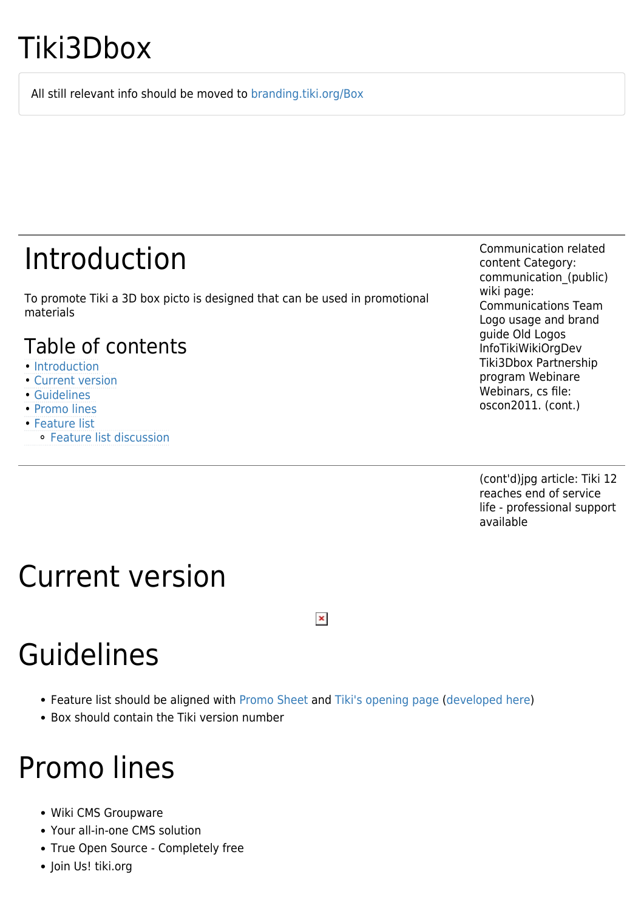# Tiki3Dbox

All still relevant info should be moved to [branding.tiki.org/Box](http://branding.tiki.org/Box)

## Introduction

To promote Tiki a 3D box picto is designed that can be used in promotional materials

#### Table of contents

- [Introduction](#page--1-0)
- [Current version](#page--1-0)
- [Guidelines](#page--1-0)
- [Promo lines](#page--1-0)
- [Feature list](#page--1-0)
	- ⚬ [Feature list discussion](#page--1-0)

Communication related content Category: communication\_(public) wiki page: Communications Team Logo usage and brand guide Old Logos InfoTikiWikiOrgDev Tiki3Dbox Partnership program Webinare Webinars, cs file: oscon2011. (cont.)

(cont'd)jpg article: Tiki 12 reaches end of service life - professional support available

# Current version

# Guidelines

Feature list should be aligned with [Promo Sheet](https://tiki.org/Promo-Sheet) and [Tiki's opening page](http://tiki.org) ([developed here](https://tiki.org/InfoTikiWikiOrgDev))

 $\pmb{\times}$ 

Box should contain the Tiki version number

### Promo lines

- Wiki CMS Groupware
- Your all-in-one CMS solution
- True Open Source Completely free
- Join Us! tiki.org